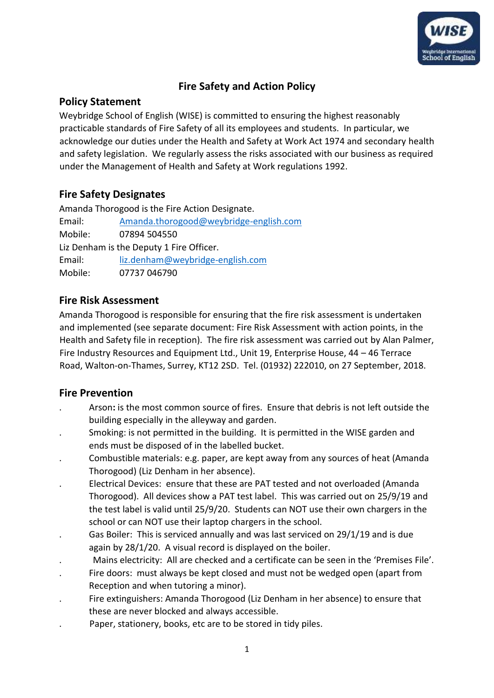

# **Fire Safety and Action Policy**

### **Policy Statement**

Weybridge School of English (WISE) is committed to ensuring the highest reasonably practicable standards of Fire Safety of all its employees and students. In particular, we acknowledge our duties under the Health and Safety at Work Act 1974 and secondary health and safety legislation. We regularly assess the risks associated with our business as required under the Management of Health and Safety at Work regulations 1992.

# **Fire Safety Designates**

Amanda Thorogood is the Fire Action Designate. Email: [Amanda.thorogood@weybridge-english.com](mailto:Amanda.thorogood@weybridge-english.com) Mobile: 07894 504550 Liz Denham is the Deputy 1 Fire Officer. Email: liz.denham@weybridge-english.com Mobile: 07737 046790

# **Fire Risk Assessment**

Amanda Thorogood is responsible for ensuring that the fire risk assessment is undertaken and implemented (see separate document: Fire Risk Assessment with action points, in the Health and Safety file in reception). The fire risk assessment was carried out by Alan Palmer, Fire Industry Resources and Equipment Ltd., Unit 19, Enterprise House, 44 – 46 Terrace Road, Walton-on-Thames, Surrey, KT12 2SD. Tel. (01932) 222010, on 27 September, 2018.

# **Fire Prevention**

- . Arson**:** is the most common source of fires. Ensure that debris is not left outside the building especially in the alleyway and garden.
- . Smoking: is not permitted in the building. It is permitted in the WISE garden and ends must be disposed of in the labelled bucket.
- . Combustible materials: e.g. paper, are kept away from any sources of heat (Amanda Thorogood) (Liz Denham in her absence).
- . Electrical Devices: ensure that these are PAT tested and not overloaded (Amanda Thorogood). All devices show a PAT test label. This was carried out on 25/9/19 and the test label is valid until 25/9/20. Students can NOT use their own chargers in the school or can NOT use their laptop chargers in the school.
- . Gas Boiler: This is serviced annually and was last serviced on 29/1/19 and is due again by 28/1/20. A visual record is displayed on the boiler.
- . Mains electricity: All are checked and a certificate can be seen in the 'Premises File'.
- . Fire doors: must always be kept closed and must not be wedged open (apart from Reception and when tutoring a minor).
- . Fire extinguishers: Amanda Thorogood (Liz Denham in her absence) to ensure that these are never blocked and always accessible.
- . Paper, stationery, books, etc are to be stored in tidy piles.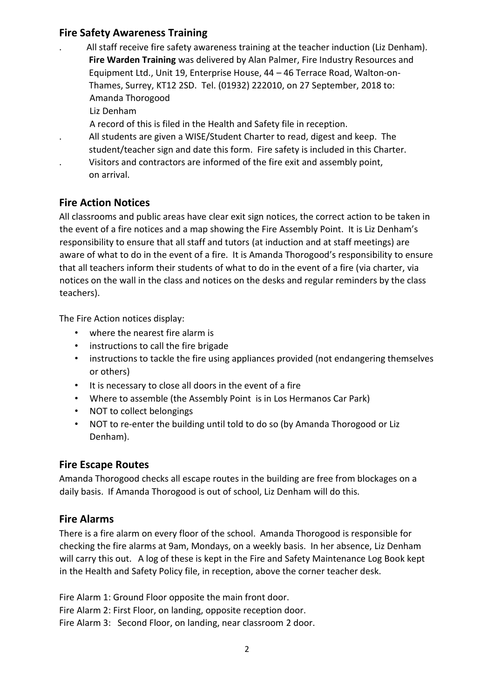## **Fire Safety Awareness Training**

- . All staff receive fire safety awareness training at the teacher induction (Liz Denham). **Fire Warden Training** was delivered by Alan Palmer, Fire Industry Resources and Equipment Ltd., Unit 19, Enterprise House, 44 – 46 Terrace Road, Walton-on-Thames, Surrey, KT12 2SD. Tel. (01932) 222010, on 27 September, 2018 to: Amanda Thorogood
	- Liz Denham
	- A record of this is filed in the Health and Safety file in reception.
	- . All students are given a WISE/Student Charter to read, digest and keep. The
	- student/teacher sign and date this form. Fire safety is included in this Charter.
- . Visitors and contractors are informed of the fire exit and assembly point, on arrival.

### **Fire Action Notices**

All classrooms and public areas have clear exit sign notices, the correct action to be taken in the event of a fire notices and a map showing the Fire Assembly Point. It is Liz Denham's responsibility to ensure that all staff and tutors (at induction and at staff meetings) are aware of what to do in the event of a fire. It is Amanda Thorogood's responsibility to ensure that all teachers inform their students of what to do in the event of a fire (via charter, via notices on the wall in the class and notices on the desks and regular reminders by the class teachers).

The Fire Action notices display:

- where the nearest fire alarm is
- instructions to call the fire brigade
- instructions to tackle the fire using appliances provided (not endangering themselves or others)
- It is necessary to close all doors in the event of a fire
- Where to assemble (the Assembly Point is in Los Hermanos Car Park)
- NOT to collect belongings
- NOT to re-enter the building until told to do so (by Amanda Thorogood or Liz Denham).

#### **Fire Escape Routes**

Amanda Thorogood checks all escape routes in the building are free from blockages on a daily basis. If Amanda Thorogood is out of school, Liz Denham will do this.

#### **Fire Alarms**

There is a fire alarm on every floor of the school. Amanda Thorogood is responsible for checking the fire alarms at 9am, Mondays, on a weekly basis. In her absence, Liz Denham will carry this out. A log of these is kept in the Fire and Safety Maintenance Log Book kept in the Health and Safety Policy file, in reception, above the corner teacher desk.

Fire Alarm 1: Ground Floor opposite the main front door. Fire Alarm 2: First Floor, on landing, opposite reception door. Fire Alarm 3: Second Floor, on landing, near classroom 2 door.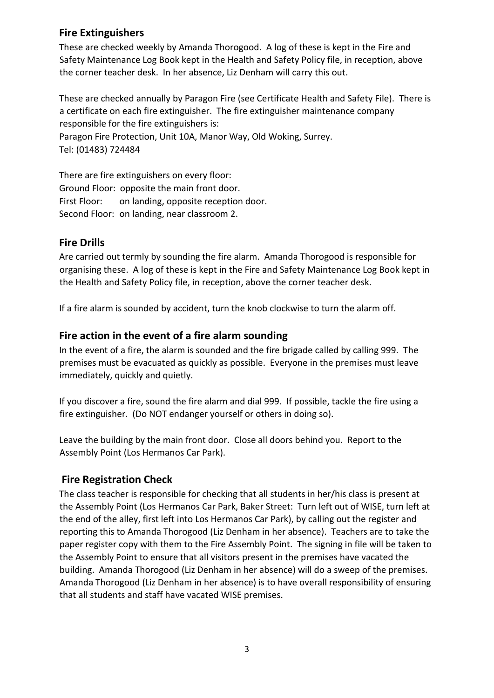## **Fire Extinguishers**

These are checked weekly by Amanda Thorogood. A log of these is kept in the Fire and Safety Maintenance Log Book kept in the Health and Safety Policy file, in reception, above the corner teacher desk. In her absence, Liz Denham will carry this out.

These are checked annually by Paragon Fire (see Certificate Health and Safety File). There is a certificate on each fire extinguisher. The fire extinguisher maintenance company responsible for the fire extinguishers is:

Paragon Fire Protection, Unit 10A, Manor Way, Old Woking, Surrey. Tel: (01483) 724484

There are fire extinguishers on every floor: Ground Floor: opposite the main front door. First Floor: on landing, opposite reception door. Second Floor: on landing, near classroom 2.

### **Fire Drills**

Are carried out termly by sounding the fire alarm. Amanda Thorogood is responsible for organising these. A log of these is kept in the Fire and Safety Maintenance Log Book kept in the Health and Safety Policy file, in reception, above the corner teacher desk.

If a fire alarm is sounded by accident, turn the knob clockwise to turn the alarm off.

### **Fire action in the event of a fire alarm sounding**

In the event of a fire, the alarm is sounded and the fire brigade called by calling 999. The premises must be evacuated as quickly as possible. Everyone in the premises must leave immediately, quickly and quietly.

If you discover a fire, sound the fire alarm and dial 999. If possible, tackle the fire using a fire extinguisher. (Do NOT endanger yourself or others in doing so).

Leave the building by the main front door. Close all doors behind you. Report to the Assembly Point (Los Hermanos Car Park).

### **Fire Registration Check**

The class teacher is responsible for checking that all students in her/his class is present at the Assembly Point (Los Hermanos Car Park, Baker Street: Turn left out of WISE, turn left at the end of the alley, first left into Los Hermanos Car Park), by calling out the register and reporting this to Amanda Thorogood (Liz Denham in her absence). Teachers are to take the paper register copy with them to the Fire Assembly Point. The signing in file will be taken to the Assembly Point to ensure that all visitors present in the premises have vacated the building. Amanda Thorogood (Liz Denham in her absence) will do a sweep of the premises. Amanda Thorogood (Liz Denham in her absence) is to have overall responsibility of ensuring that all students and staff have vacated WISE premises.